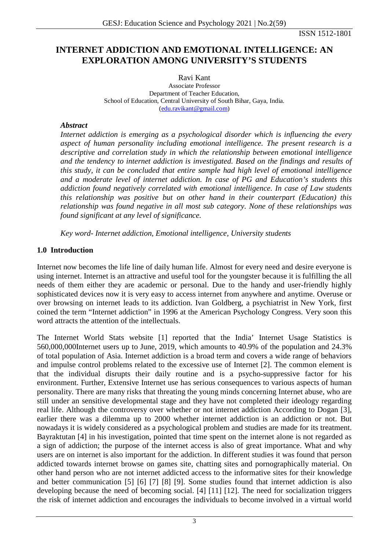ISSN 1512-1801

# **INTERNET ADDICTION AND EMOTIONAL INTELLIGENCE: AN EXPLORATION AMONG UNIVERSITY'S STUDENTS**

Ravi Kant Associate Professor Department of Teacher Education, School of Education, Central University of South Bihar, Gaya, India. [\(edu.ravikant@gmail.com\)](mailto:edu.ravikant@gmail.com)

#### *Abstract*

*Internet addiction is emerging as a psychological disorder which is influencing the every aspect of human personality including emotional intelligence. The present research is a descriptive and correlation study in which the relationship between emotional intelligence and the tendency to internet addiction is investigated. Based on the findings and results of this study, it can be concluded that entire sample had high level of emotional intelligence and a moderate level of internet addiction. In case of PG and Education's students this addiction found negatively correlated with emotional intelligence. In case of Law students this relationship was positive but on other hand in their counterpart (Education) this relationship was found negative in all most sub category. None of these relationships was found significant at any level of significance.*

*Key word- Internet addiction, Emotional intelligence, University students*

### **1.0 Introduction**

Internet now becomes the life line of daily human life. Almost for every need and desire everyone is using internet. Internet is an attractive and useful tool for the youngster because it is fulfilling the all needs of them either they are academic or personal. Due to the handy and user-friendly highly sophisticated devices now it is very easy to access internet from anywhere and anytime. Overuse or over browsing on internet leads to its addiction. Ivan Goldberg, a psychiatrist in New York, first coined the term "Internet addiction" in 1996 at the American Psychology Congress. Very soon this word attracts the attention of the intellectuals.

The Internet World Stats website [1] reported that the India' Internet Usage Statistics is 560,000,000Internet users up to June, 2019, which amounts to 40.9% of the population and 24.3% of total population of Asia. Internet addiction is a broad term and covers a wide range of behaviors and impulse control problems related to the excessive use of Internet [2]. The common element is that the individual disrupts their daily routine and is a psycho-suppressive factor for his environment. Further, Extensive Internet use has serious consequences to various aspects of human personality. There are many risks that threating the young minds concerning Internet abuse, who are still under an sensitive developmental stage and they have not completed their ideology regarding real life. Although the controversy over whether or not internet addiction According to Dogan [3], earlier there was a dilemma up to 2000 whether internet addiction is an addiction or not. But nowadays it is widely considered as a psychological problem and studies are made for its treatment. Bayraktutan [4] in his investigation, pointed that time spent on the internet alone is not regarded as a sign of addiction; the purpose of the internet access is also of great importance. What and why users are on internet is also important for the addiction. In different studies it was found that person addicted towards internet browse on games site, chatting sites and pornographically material. On other hand person who are not internet addicted access to the informative sites for their knowledge and better communication [5] [6] [7] [8] [9]. Some studies found that internet addiction is also developing because the need of becoming social. [4] [11] [12]. The need for socialization triggers the risk of internet addiction and encourages the individuals to become involved in a virtual world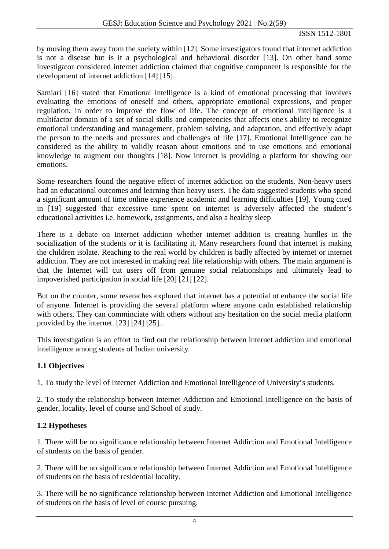by moving them away from the society within [12]. Some investigators found that internet addiction is not a disease but is it a psychological and behavioral disorder [13]. On other hand some investigator considered internet addiction claimed that cognitive component is responsible for the development of internet addiction [14] [15].

Samiari [16] stated that Emotional intelligence is a kind of emotional processing that involves evaluating the emotions of oneself and others, appropriate emotional expressions, and proper regulation, in order to improve the flow of life. The concept of emotional intelligence is a multifactor domain of a set of social skills and competencies that affects one's ability to recognize emotional understanding and management, problem solving, and adaptation, and effectively adapt the person to the needs and pressures and challenges of life [17]. Emotional Intelligence can be considered as the ability to validly reason about emotions and to use emotions and emotional knowledge to augment our thoughts [18]. Now internet is providing a platform for showing our emotions.

Some researchers found the negative effect of internet addiction on the students. Non-heavy users had an educational outcomes and learning than heavy users. The data suggested students who spend a significant amount of time online experience academic and learning difficulties [19]. Young cited in [19] suggested that excessive time spent on internet is adversely affected the student's educational activities i.e. homework, assignments, and also a healthy sleep

There is a debate on Internet addiction whether internet addition is creating hurdles in the socialization of the students or it is facilitating it. Many researchers found that internet is making the children isolate. Reaching to the real world by children is badly affected by internet or internet addiction. They are not interested in making real life relationship with others. The main argument is that the Internet will cut users off from genuine social relationships and ultimately lead to impoverished participation in social life [20] [21] [22].

But on the counter, some reseraches explored that internet has a potential ot enhance the social life of anyone. Internet is providing the several platform where anyone cadn established relationship with others, They can comminciate with others without any hesitation on the social media platform provided by the internet. [23] [24] [25]..

This investigation is an effort to find out the relationship between internet addiction and emotional intelligence among students of Indian university.

# **1.1 Objectives**

1. To study the level of Internet Addiction and Emotional Intelligence of University's students.

2. To study the relationship between Internet Addiction and Emotional Intelligence on the basis of gender, locality, level of course and School of study.

# **1.2 Hypotheses**

1. There will be no significance relationship between Internet Addiction and Emotional Intelligence of students on the basis of gender.

2. There will be no significance relationship between Internet Addiction and Emotional Intelligence of students on the basis of residential locality.

3. There will be no significance relationship between Internet Addiction and Emotional Intelligence of students on the basis of level of course pursuing.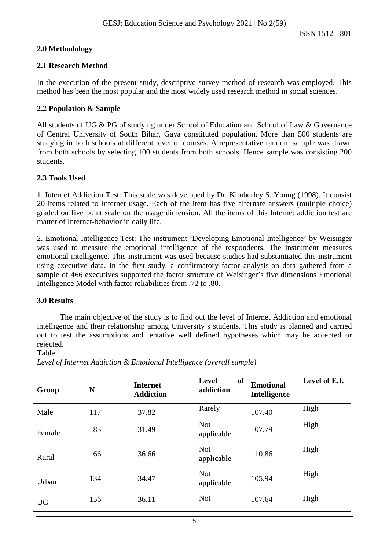### **2.0 Methodology**

### **2.1 Research Method**

In the execution of the present study, descriptive survey method of research was employed. This method has been the most popular and the most widely used research method in social sciences.

### **2.2 Population & Sample**

All students of UG & PG of studying under School of Education and School of Law & Governance of Central University of South Bihar, Gaya constituted population. More than 500 students are studying in both schools at different level of courses. A representative random sample was drawn from both schools by selecting 100 students from both schools. Hence sample was consisting 200 students.

### **2.3 Tools Used**

1. Internet Addiction Test: This scale was developed by Dr. Kimberley S. Young (1998). It consist 20 items related to Internet usage. Each of the item has five alternate answers (multiple choice) graded on five point scale on the usage dimension. All the items of this Internet addiction test are matter of Internet-behavior in daily life.

2. Emotional Intelligence Test: The instrument 'Developing Emotional Intelligence' by Weisinger was used to measure the emotional intelligence of the respondents. The instrument measures emotional intelligence. This instrument was used because studies had substantiated this instrument using executive data. In the first study, a confirmatory factor analysis-on data gathered from a sample of 466 executives supported the factor structure of Weisinger's five dimensions Emotional Intelligence Model with factor reliabilities from .72 to .80.

#### **3.0 Results**

The main objective of the study is to find out the level of Internet Addiction and emotional intelligence and their relationship among University's students. This study is planned and carried out to test the assumptions and tentative well defined hypotheses which may be accepted or rejected.

#### Table 1

**Group <sup>N</sup> Internet Addiction Level of addiction Emotional Intelligence Level of E.I.** Male 117 37.82 Rarely 107.40 High Female 83 31.49 Not<br>appl Not 107.79 High<br>applicable 107.79 Rural 66 36.66 Not<br>appl Not High<br>applicable 110.86 High Urban 134 34.47 Not Not 105.94 High<br>applicable 105.94 UG 156 36.11 Not 107.64 High

*Level of Internet Addiction & Emotional Intelligence (overall sample)*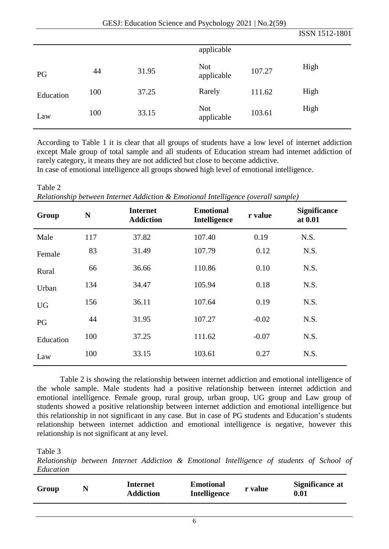|           |     |       |                          |        | ISSN 1512-1801 |
|-----------|-----|-------|--------------------------|--------|----------------|
|           |     |       | applicable               |        |                |
| PG        | 44  | 31.95 | <b>Not</b><br>applicable | 107.27 | High           |
| Education | 100 | 37.25 | Rarely                   | 111.62 | High           |
| Law       | 100 | 33.15 | <b>Not</b><br>applicable | 103.61 | High           |

According to Table 1 it is clear that all groups of students have a low level of internet addiction except Male group of total sample and all students of Education stream had internet addiction of rarely category, it means they are not addicted but close to become addictive.

In case of emotional intelligence all groups showed high level of emotional intelligence.

| Table 2                                                                           |
|-----------------------------------------------------------------------------------|
| Relationship between Internet Addiction & Emotional Intelligence (overall sample) |
|                                                                                   |

| Group     | N   | <b>Internet</b><br><b>Addiction</b> | <b>Emotional</b><br>Intelligence | r value | <b>Significance</b><br>at 0.01 |
|-----------|-----|-------------------------------------|----------------------------------|---------|--------------------------------|
| Male      | 117 | 37.82                               | 107.40                           | 0.19    | N.S.                           |
| Female    | 83  | 31.49                               | 107.79                           | 0.12    | N.S.                           |
| Rural     | 66  | 36.66                               | 110.86                           | 0.10    | N.S.                           |
| Urban     | 134 | 34.47                               | 105.94                           | 0.18    | N.S.                           |
| <b>UG</b> | 156 | 36.11                               | 107.64                           | 0.19    | N.S.                           |
| PG        | 44  | 31.95                               | 107.27                           | $-0.02$ | N.S.                           |
| Education | 100 | 37.25                               | 111.62                           | $-0.07$ | N.S.                           |
| Law       | 100 | 33.15                               | 103.61                           | 0.27    | N.S.                           |

Table 2 is showing the relationship between internet addiction and emotional intelligence of the whole sample. Male students had a positive relationship between internet addiction and emotional intelligence. Female group, rural group, urban group, UG group and Law group of students showed a positive relationship between internet addiction and emotional intelligence but this relationship in not significant in any case. But in case of PG students and Education's students relationship between internet addiction and emotional intelligence is negative, however this relationship is not significant at any level.

Table 3

*Relationship between Internet Addiction & Emotional Intelligence of students of School of Education* 

| Group | Internet<br><b>Addiction</b> | <b>Emotional</b><br><b>Intelligence</b> | r value | Significance at<br>0.01 |
|-------|------------------------------|-----------------------------------------|---------|-------------------------|
|       |                              |                                         |         |                         |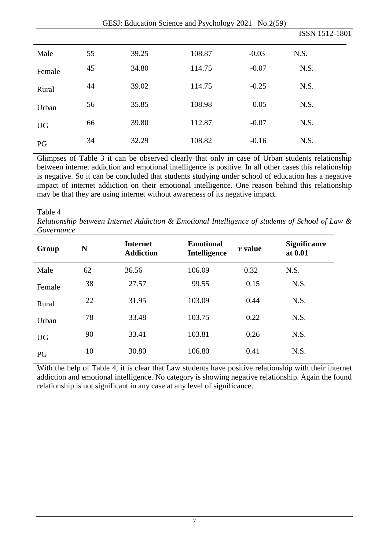|           | $OESJ$ . Equeation Science and Esychology 2021 [190.2(55)] |       |        |         |                |  |
|-----------|------------------------------------------------------------|-------|--------|---------|----------------|--|
|           |                                                            |       |        |         | ISSN 1512-1801 |  |
| Male      | 55                                                         | 39.25 | 108.87 | $-0.03$ | N.S.           |  |
| Female    | 45                                                         | 34.80 | 114.75 | $-0.07$ | N.S.           |  |
| Rural     | 44                                                         | 39.02 | 114.75 | $-0.25$ | N.S.           |  |
| Urban     | 56                                                         | 35.85 | 108.98 | 0.05    | N.S.           |  |
| <b>UG</b> | 66                                                         | 39.80 | 112.87 | $-0.07$ | N.S.           |  |
| PG        | 34                                                         | 32.29 | 108.82 | $-0.16$ | N.S.           |  |

GESJ: Education Science and Psychology  $2021 \mid N_0$   $2(59)$ 

Glimpses of Table 3 it can be observed clearly that only in case of Urban students relationship between internet addiction and emotional intelligence is positive. In all other cases this relationship is negative. So it can be concluded that students studying under school of education has a negative impact of internet addiction on their emotional intelligence. One reason behind this relationship may be that they are using internet without awareness of its negative impact.

#### Table 4

*Relationship between Internet Addiction & Emotional Intelligence of students of School of Law & Governance*

| Group     | N  | <b>Internet</b><br><b>Addiction</b> | <b>Emotional</b><br><b>Intelligence</b> | r value | <b>Significance</b><br>at 0.01 |
|-----------|----|-------------------------------------|-----------------------------------------|---------|--------------------------------|
| Male      | 62 | 36.56                               | 106.09                                  | 0.32    | N.S.                           |
| Female    | 38 | 27.57                               | 99.55                                   | 0.15    | N.S.                           |
| Rural     | 22 | 31.95                               | 103.09                                  | 0.44    | N.S.                           |
| Urban     | 78 | 33.48                               | 103.75                                  | 0.22    | N.S.                           |
| <b>UG</b> | 90 | 33.41                               | 103.81                                  | 0.26    | N.S.                           |
| PG        | 10 | 30.80                               | 106.80                                  | 0.41    | N.S.                           |

With the help of Table 4, it is clear that Law students have positive relationship with their internet addiction and emotional intelligence. No category is showing negative relationship. Again the found relationship is not significant in any case at any level of significance.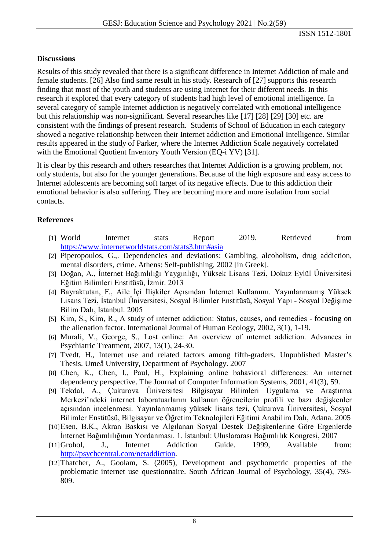### **Discussions**

Results of this study revealed that there is a significant difference in Internet Addiction of male and female students. [26] Also find same result in his study. Research of [27] supports this research finding that most of the youth and students are using Internet for their different needs. In this research it explored that every category of students had high level of emotional intelligence. In several category of sample Internet addiction is negatively correlated with emotional intelligence but this relationship was non-significant. Several researches like [17] [28] [29] [30] etc. are consistent with the findings of present research. Students of School of Education in each category showed a negative relationship between their Internet addiction and Emotional Intelligence. Similar results appeared in the study of Parker, where the Internet Addiction Scale negatively correlated with the Emotional Quotient Inventory Youth Version (EQ-i YV) [31].

It is clear by this research and others researches that Internet Addiction is a growing problem, not only students, but also for the younger generations. Because of the high exposure and easy access to Internet adolescents are becoming soft target of its negative effects. Due to this addiction their emotional behavior is also suffering. They are becoming more and more isolation from social contacts.

### **References**

- [1] World Internet stats Report 2019. Retrieved from <https://www.internetworldstats.com/stats3.htm#asia>
- [2] Piperopoulos, G.,. Dependencies and deviations: Gambling, alcoholism, drug addiction, mental disorders, crime. Athens: Self-publishing, 2002 [in Greek].
- [3] Doğan, A., İnternet Bağımlılığı Yaygınlığı, Yüksek Lisans Tezi, Dokuz Eylül Üniversitesi Eğitim Bilimleri Enstitüsü, İzmir. 2013
- [4] Bayraktutan, F., Aile İçi İlişkiler Açısından İnternet Kullanımı. Yayınlanmamış Yüksek Lisans Tezi, İstanbul Üniversitesi, Sosyal Bilimler Enstitüsü, Sosyal Yapı - Sosyal Değişime Bilim Dalı, İstanbul. 2005
- [5] Kim, S., Kim, R., A study of ınternet addiction: Status, causes, and remedies focusing on the alienation factor. International Journal of Human Ecology, 2002, 3(1), 1-19.
- [6] Murali, V., George, S., Lost online: An overview of ınternet addiction. Advances in Psychiatric Treatment, 2007, 13(1), 24-30.
- [7] Tvedt, H., Internet use and related factors among fifth-graders. Unpublished Master's Thesis. Umeå University, Department of Psychology. 2007
- [8] Chen, K., Chen, I., Paul, H., Explaining online bahavioral differences: An ınternet dependency perspective. The Journal of Computer Information Systems, 2001, 41(3), 59.
- [9] Tekdal, A., Çukurova Üniversitesi Bilgisayar Bilimleri Uygulama ve Araştırma Merkezi'ndeki internet laboratuarlarını kullanan öğrencilerin profili ve bazı değişkenler açısından incelenmesi. Yayınlanmamış yüksek lisans tezi, Çukurova Üniversitesi, Sosyal Bilimler Enstitüsü, Bilgisayar ve Öğretim Teknolojileri Eğitimi Anabilim Dalı, Adana. 2005
- [10]Esen, B.K., Akran Baskısı ve Algılanan Sosyal Destek Değişkenlerine Göre Ergenlerde İnternet Bağımlılığının Yordanması. 1. İstanbul: Uluslararası Bağımlılık Kongresi, 2007
- [11]Grohol, J., Internet Addiction Guide. 1999, Available from: [http://psychcentral.com/netaddiction.](http://psychcentral.com/netaddiction)
- [12]Thatcher, A., Goolam, S. (2005), Development and psychometric properties of the problematic internet use questionnaire. South African Journal of Psychology, 35(4), 793- 809.